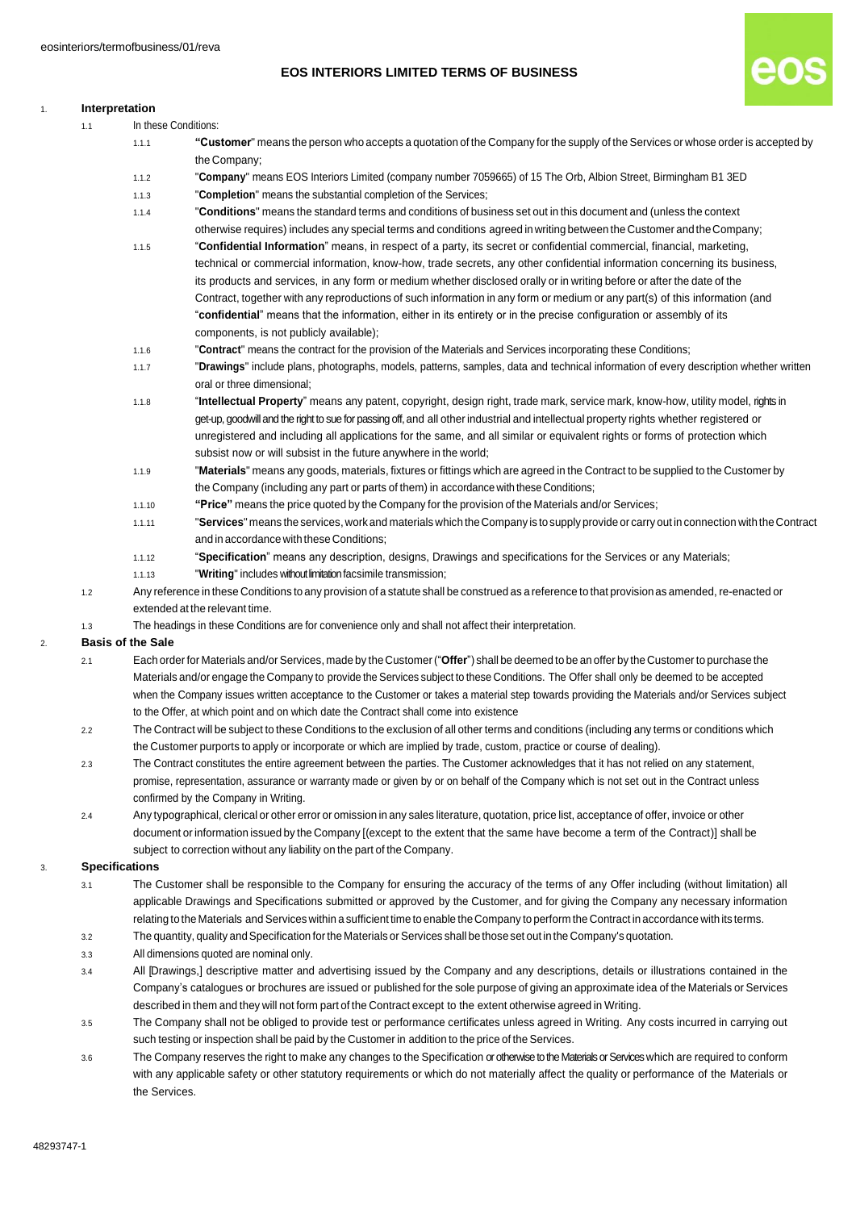# **EOS INTERIORS LIMITED TERMS OF BUSINESS**



### 1. **Interpretation**

1.1 In these Conditions:

| 1.1.1 | "Customer" means the person who accepts a quotation of the Company for the supply of the Services or whose order is accepted by |
|-------|---------------------------------------------------------------------------------------------------------------------------------|
|       | the Company;                                                                                                                    |
| 1.1.2 | "Company" means EOS Interiors Limited (company number 7059665) of 15 The Orb, Albion Street, Birmingham B1 3ED                  |
| 1.1.3 | "Completion" means the substantial completion of the Services;                                                                  |
| 1.1.4 | "Conditions" means the standard terms and conditions of business set out in this document and (unless the context               |

- otherwise requires) includes any special terms and conditions agreed in writing between the Customer and theCompany; 1.1.5 "**Confidential Information**" means, in respect of a party, its secret or confidential commercial, financial, marketing, technical or commercial information, know-how, trade secrets, any other confidential information concerning its business, its products and services, in any form or medium whether disclosed orally or in writing before or after the date of the Contract, together with any reproductions of such information in any form or medium or any part(s) of this information (and "**confidential**" means that the information, either in its entirety or in the precise configuration or assembly of its components, is not publicly available);
- 1.1.6 "**Contract**" means the contract for the provision of the Materials and Services incorporating these Conditions;
- 1.1.7 "**Drawings**" include plans, photographs, models, patterns, samples, data and technical information of every description whether written oral or three dimensional;
- 1.1.8 "**Intellectual Property**" means any patent, copyright, design right, trade mark, service mark, know-how, utility model, rights in get-up, goodwill and the right to sue for passing off, and all other industrial and intellectual property rights whether registered or unregistered and including all applications for the same, and all similar or equivalent rights or forms of protection which subsist now or will subsist in the future anywhere in the world;
- 1.1.9 "**Materials**" means any goods, materials, fixtures or fittings which are agreed in the Contract to be supplied to the Customer by the Company (including any part or parts of them) in accordance with these Conditions;
- 1.1.10 **"Price"** means the price quoted by the Company for the provision of the Materials and/or Services;
- 1.1.11 "**Services**" means the services,work and materials which theCompany is to supply provide or carry out in connection with the Contract and in accordance with these Conditions;
- 1.1.12 "**Specification**" means any description, designs, Drawings and specifications for the Services or any Materials;
- 1.1.13 "**Writing**" includes without limitation facsimile transmission;
- 1.2 Any reference in these Conditions to any provision of a statute shall be construed as a reference to that provision as amended, re-enacted or extended at the relevant time.
- 1.3 The headings in these Conditions are for convenience only and shall not affect their interpretation.

# 2. **Basis of the Sale**

- 2.1 Each orderfor Materials and/or Services, made by the Customer("**Offer**") shall be deemed to be an offer by the Customer to purchase the Materials and/or engage the Company to provide the Services subject to these Conditions. The Offer shall only be deemed to be accepted when the Company issues written acceptance to the Customer or takes a material step towards providing the Materials and/or Services subject to the Offer, at which point and on which date the Contract shall come into existence
- 2.2 The Contract will be subject to these Conditions to the exclusion of all other terms and conditions (including any terms or conditions which the Customer purports to apply or incorporate or which are implied by trade, custom, practice or course of dealing).
- 2.3 The Contract constitutes the entire agreement between the parties. The Customer acknowledges that it has not relied on any statement, promise, representation, assurance or warranty made or given by or on behalf of the Company which is not set out in the Contract unless confirmed by the Company in Writing.
- 2.4 Any typographical, clerical or other error or omission in any sales literature, quotation, price list, acceptance of offer, invoice or other document or information issued by the Company [(except to the extent that the same have become a term of the Contract)] shall be subject to correction without any liability on the part of the Company.

#### 3. **Specifications**

- 3.1 The Customer shall be responsible to the Company for ensuring the accuracy of the terms of any Offer including (without limitation) all applicable Drawings and Specifications submitted or approved by the Customer, and for giving the Company any necessary information relating to the Materials and Serviceswithin a sufficient time to enable the Company to perform the Contract in accordance with its terms.
- 3.2 The quantity, quality andSpecification forthe Materials orServices shall bethose set out in the Company's quotation.
- 3.3 All dimensions quoted are nominal only.
- 3.4 All [Drawings,] descriptive matter and advertising issued by the Company and any descriptions, details or illustrations contained in the Company's catalogues or brochures are issued or published for the sole purpose of giving an approximate idea of the Materials or Services described in them and they will not form part of the Contract except to the extent otherwise agreed in Writing.
- 3.5 The Company shall not be obliged to provide test or performance certificates unless agreed in Writing. Any costs incurred in carrying out such testing or inspection shall be paid by the Customer in addition to the price of the Services.
- 3.6 The Company reserves the right to make any changes to the Specification or otherwise to the Materials or Services which are required to conform with any applicable safety or other statutory requirements or which do not materially affect the quality or performance of the Materials or the Services.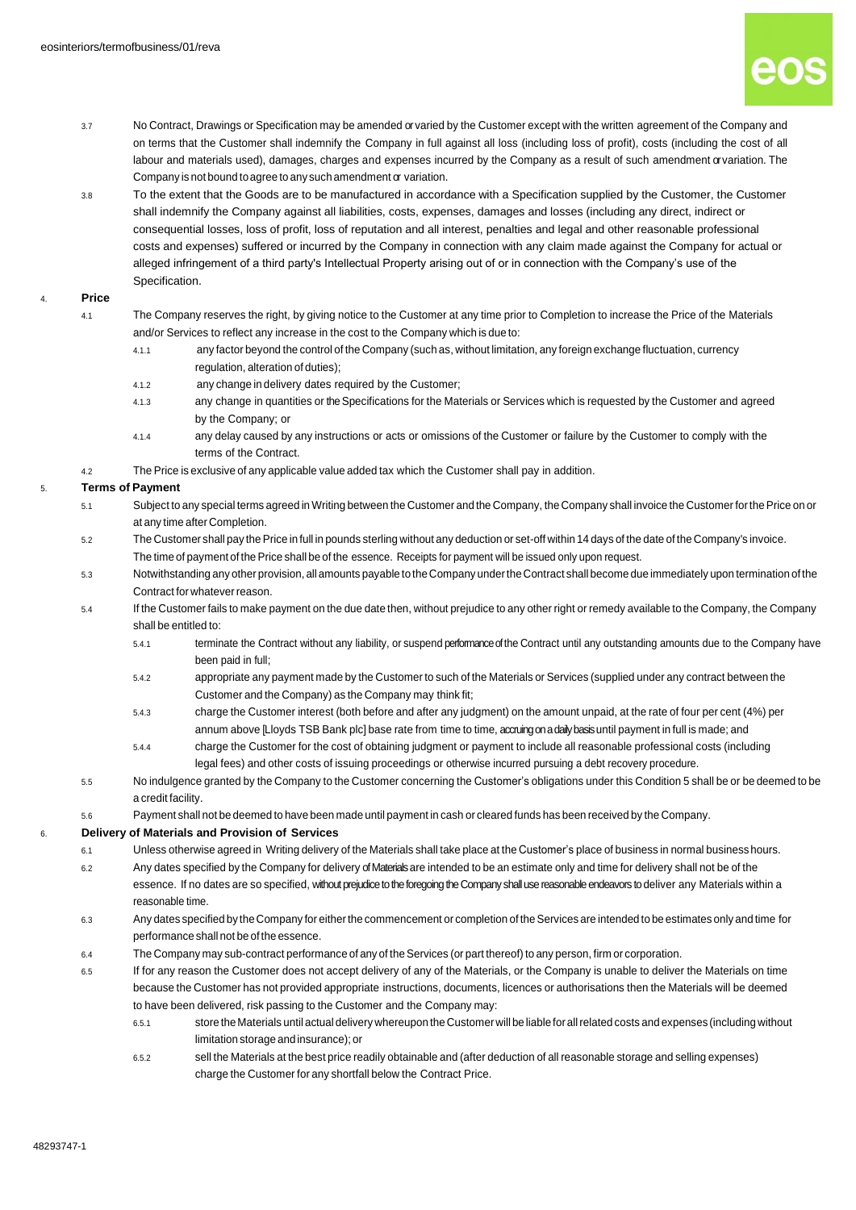- 3.7 No Contract, Drawings or Specification may be amended or varied by the Customer except with the written agreement of the Company and on terms that the Customer shall indemnify the Company in full against all loss (including loss of profit), costs (including the cost of all labour and materials used), damages, charges and expenses incurred by the Company as a result of such amendment or variation. The Company is not bound to agree to any such amendment or variation.
- 3.8 To the extent that the Goods are to be manufactured in accordance with a Specification supplied by the Customer, the Customer shall indemnify the Company against all liabilities, costs, expenses, damages and losses (including any direct, indirect or consequential losses, loss of profit, loss of reputation and all interest, penalties and legal and other reasonable professional costs and expenses) suffered or incurred by the Company in connection with any claim made against the Company for actual or alleged infringement of a third party's Intellectual Property arising out of or in connection with the Company's use of the Specification.

### 4. **Price**

- 4.1 The Company reserves the right, by giving notice to the Customer at any time prior to Completion to increase the Price of the Materials and/or Services to reflect any increase in the cost to the Company which is due to:
	- 4.1.1 any factor beyond the control of the Company (such as, without limitation, any foreign exchange fluctuation, currency regulation, alteration of duties);
	- 4.1.2 any change in delivery dates required by the Customer;
	- 4.1.3 any change in quantities or the Specifications for the Materials or Services which is requested by the Customer and agreed by the Company; or
	- 4.1.4 any delay caused by any instructions or acts or omissions of the Customer or failure by the Customer to comply with the terms of the Contract.
- 4.2 The Price is exclusive of any applicable value added tax which the Customer shall pay in addition.

### 5. **Terms of Payment**

- 5.1 Subject to any special terms agreed in Writing between the Customer and the Company, the Company shall invoice the Customer forthePrice on or at any time after Completion.
- 5.2 The Customer shall pay the Price in full in pounds sterling without any deduction or set-off within 14 days of the date of the Company's invoice. The time of payment of the Price shall be of the essence. Receipts for payment will be issued only upon request.
- 5.3 Notwithstanding any other provision, all amounts payable to the Company underthe Contract shall become due immediately upon termination ofthe Contract for whatever reason.
- 5.4 If the Customer fails to make payment on the due date then, without prejudice to any other right or remedy available to the Company, the Company shall be entitled to:
	- 5.4.1 terminate the Contract without any liability, or suspend performance of the Contract until any outstanding amounts due to the Company have been paid in full;
	- 5.4.2 appropriate any payment made by the Customer to such of the Materials or Services (supplied under any contract between the Customer and the Company) as the Company may think fit;
	- 5.4.3 charge the Customer interest (both before and after any judgment) on the amount unpaid, at the rate of four per cent (4%) per annum above [Lloyds TSB Bank plc] base rate from time to time, accruing on a daily basis until payment in full is made; and
	- 5.4.4 charge the Customer for the cost of obtaining judgment or payment to include all reasonable professional costs (including legal fees) and other costs of issuing proceedings or otherwise incurred pursuing a debt recovery procedure.
- 5.5 No indulgence granted by the Company to the Customer concerning the Customer's obligations under this Condition 5 shall be or be deemed to be a credit facility.
- 5.6 Payment shall not be deemed to have been made until payment in cash or cleared funds has been received by the Company.

### 6. **Delivery of Materials and Provision of Services**

- 6.1 Unless otherwise agreed in Writing delivery of the Materials shall take place at the Customer's place of business in normal business hours.
- 6.2 Any dates specified by the Company for delivery of Materials are intended to be an estimate only and time for delivery shall not be of the essence. If no dates are so specified, without prejudice to the foregoing the Company shall use reasonable endeavors to deliver any Materials within a reasonable time.
- 6.3 Any dates specified by the Company for eitherthe commencement or completion of theServices are intended to be estimates only and time for performance shall not be of the essence.
- 6.4 The Company may sub-contract performance of any of theServices (or part thereof) to any person, firm or corporation.
- 6.5 If for any reason the Customer does not accept delivery of any of the Materials, or the Company is unable to deliver the Materials on time because the Customer has not provided appropriate instructions, documents, licences or authorisations then the Materials will be deemed to have been delivered, risk passing to the Customer and the Company may:
	- 6.5.1 store theMaterials until actual delivery whereupon the Customerwill be liable for allrelated costs and expenses (including without limitation storage and insurance); or
	- 6.5.2 sell the Materials at the best price readily obtainable and (after deduction of all reasonable storage and selling expenses) charge the Customer for any shortfall below the Contract Price.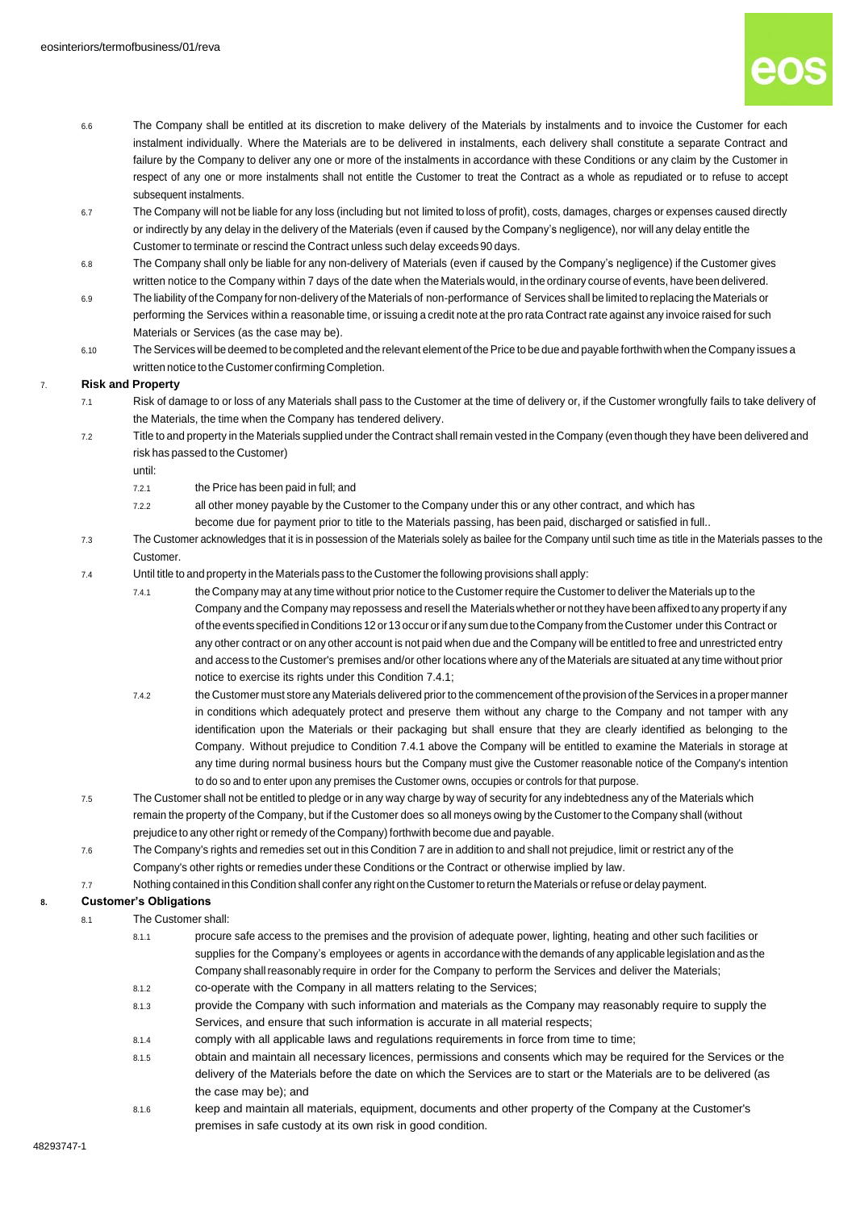- 6.6 The Company shall be entitled at its discretion to make delivery of the Materials by instalments and to invoice the Customer for each instalment individually. Where the Materials are to be delivered in instalments, each delivery shall constitute a separate Contract and failure by the Company to deliver any one or more of the instalments in accordance with these Conditions or any claim by the Customer in respect of any one or more instalments shall not entitle the Customer to treat the Contract as a whole as repudiated or to refuse to accept subsequent instalments.
- 6.7 The Company will not be liable for any loss (including but not limited to loss of profit), costs, damages, charges or expenses caused directly or indirectly by any delay in the delivery of the Materials (even if caused by the Company's negligence), nor will any delay entitle the Customer to terminate or rescind the Contract unless such delay exceeds 90 days.
- 6.8 The Company shall only be liable for any non-delivery of Materials (even if caused by the Company's negligence) if the Customer gives written notice to the Company within 7 days of the date when the Materials would, in the ordinary course of events, have been delivered.
- 6.9 The liability of the Company for non-delivery of the Materials of non-performance of Services shall be limited to replacing the Materials or performing the Services within a reasonable time, or issuing a credit note at the pro rata Contract rate against any invoice raised for such Materials or Services (as the case may be).
- 6.10 TheServices will be deemed to becompleted and the relevant element of thePrice to be due and payable forthwith when the Company issues a written notice tothe Customer confirming Completion.

# 7. **Risk and Property**

- 7.1 Risk of damage to or loss of any Materials shall pass to the Customer at the time of delivery or, if the Customer wrongfully fails to take delivery of the Materials, the time when the Company has tendered delivery.
- 7.2 Title to and property in the Materials supplied under the Contract shall remain vested in the Company (even though they have been delivered and risk has passed to the Customer)

until:

- 7.2.1 the Price has been paid in full; and
- 7.2.2 all other money payable by the Customer to the Company under this or any other contract, and which has become due for payment prior to title to the Materials passing, has been paid, discharged or satisfied in full..
- 7.3 The Customer acknowledges that it is in possession of the Materials solely as bailee for the Company until such time as title in the Materials passes to the Customer.
- 7.4 Until title to and property in the Materials pass to the Customer the following provisions shall apply:
	- 7.4.1 the Company may at any time without prior notice to the Customer require the Customer to deliver the Materials up to the Company and the Company may repossess and resell the Materials whether or not they have been affixed to any property if any of the events specified in Conditions 12 or 13 occur orif any sum due totheCompany from theCustomer under this Contract or any other contract or on any other account is not paid when due and the Company will be entitled to free and unrestricted entry and access to the Customer's premises and/or other locations where any of the Materials are situated at any time without prior notice to exercise its rights under this Condition 7.4.1;
	- 7.4.2 the Customer must store any Materials delivered prior to the commencement of the provision of theServices in a proper manner in conditions which adequately protect and preserve them without any charge to the Company and not tamper with any identification upon the Materials or their packaging but shall ensure that they are clearly identified as belonging to the Company. Without prejudice to Condition 7.4.1 above the Company will be entitled to examine the Materials in storage at any time during normal business hours but the Company must give the Customer reasonable notice of the Company's intention to do so and to enter upon any premises the Customer owns, occupies or controls for that purpose.
- 7.5 The Customer shall not be entitled to pledge or in any way charge by way of security for any indebtedness any of the Materials which remain the property of the Company, but if the Customer does so all moneys owing by the Customer to the Company shall (without prejudice to any other right or remedy of the Company) forthwith become due and payable.
- 7.6 The Company's rights and remedies set out in this Condition 7 are in addition to and shall not prejudice, limit or restrict any of the Company's other rights or remedies under these Conditions or the Contract or otherwise implied by law.
- 7.7 Nothing contained in this Condition shall confer any right on the Customer to return the Materials orrefuse or delay payment.

# **8. Customer's Obligations**

- 8.1 The Customer shall:
	- 8.1.1 procure safe access to the premises and the provision of adequate power, lighting, heating and other such facilities or supplies for the Company's employees or agents in accordance with the demands of any applicable legislation and as the Company shallreasonably require in order for the Company to perform the Services and deliver the Materials;
	- 8.1.2 co-operate with the Company in all matters relating to the Services;
	- 8.1.3 provide the Company with such information and materials as the Company may reasonably require to supply the Services, and ensure that such information is accurate in all material respects;
	- 8.1.4 comply with all applicable laws and regulations requirements in force from time to time;
	- 8.1.5 obtain and maintain all necessary licences, permissions and consents which may be required for the Services or the delivery of the Materials before the date on which the Services are to start or the Materials are to be delivered (as the case may be); and
	- 8.1.6 keep and maintain all materials, equipment, documents and other property of the Company at the Customer's premises in safe custody at its own risk in good condition.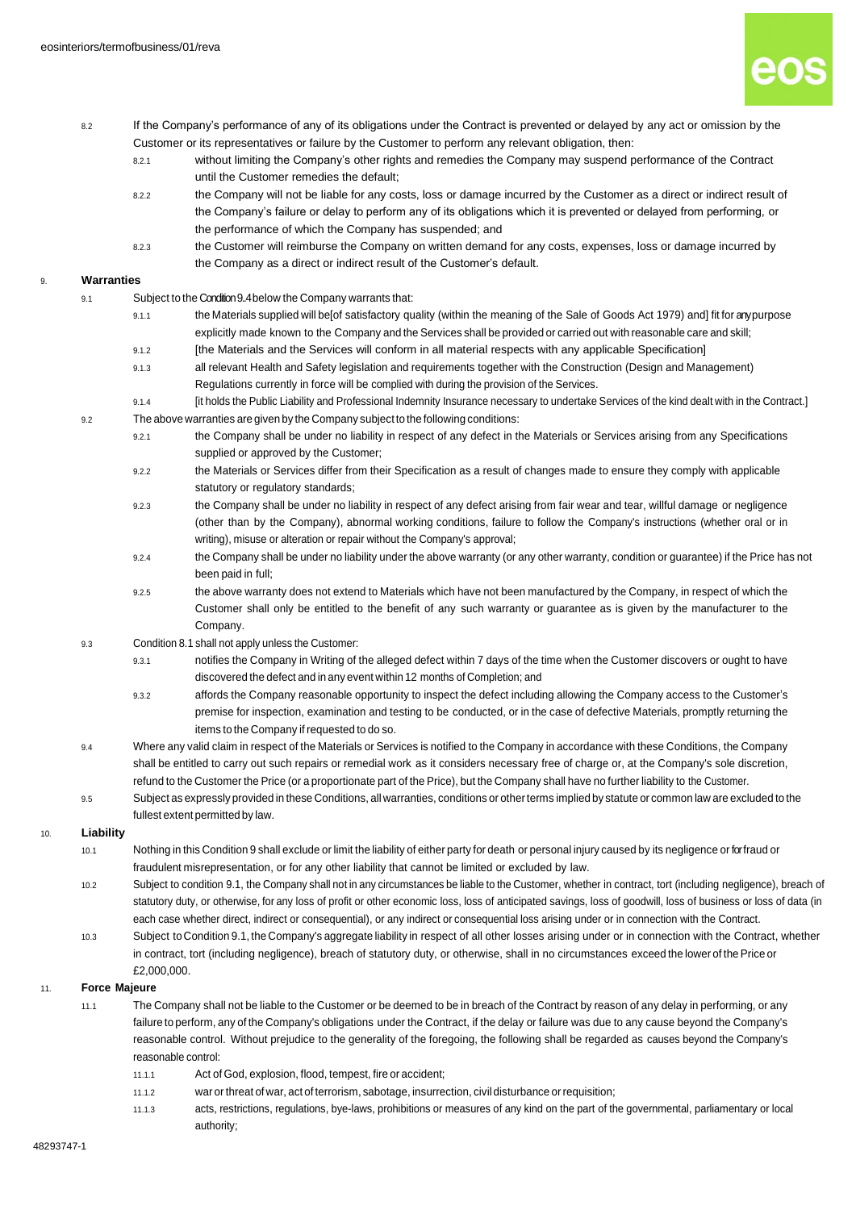- 8.2 If the Company's performance of any of its obligations under the Contract is prevented or delayed by any act or omission by the Customer or its representatives or failure by the Customer to perform any relevant obligation, then:
	- 8.2.1 without limiting the Company's other rights and remedies the Company may suspend performance of the Contract until the Customer remedies the default;
	- 8.2.2 the Company will not be liable for any costs, loss or damage incurred by the Customer as a direct or indirect result of the Company's failure or delay to perform any of its obligations which it is prevented or delayed from performing, or the performance of which the Company has suspended; and
	- 8.2.3 the Customer will reimburse the Company on written demand for any costs, expenses, loss or damage incurred by the Company as a direct or indirect result of the Customer's default.

### 9. **Warranties**

- 9.1 Subject to the Condition 9.4 below the Company warrants that:
	- 9.1.1 the Materials supplied will be[of satisfactory quality (within the meaning of the Sale of Goods Act 1979) and] fit for any purpose explicitly made known to the Company and the Services shall be provided or carried out with reasonable care and skill;
	- 9.1.2 [the Materials and the Services will conform in all material respects with any applicable Specification]
	- 9.1.3 all relevant Health and Safety legislation and requirements together with the Construction (Design and Management) Regulations currently in force will be complied with during the provision of the Services.
- 9.1.4 [it holds the Public Liability and Professional Indemnity Insurance necessary to undertake Services of the kind dealt with in the Contract.] 9.2 The above warranties are given by the Company subject to the following conditions:
	- 9.2.1 the Company shall be under no liability in respect of any defect in the Materials or Services arising from any Specifications supplied or approved by the Customer;
		- 9.2.2 the Materials or Services differ from their Specification as a result of changes made to ensure they comply with applicable statutory or regulatory standards;
		- 9.2.3 the Company shall be under no liability in respect of any defect arising from fair wear and tear, willful damage or negligence (other than by the Company), abnormal working conditions, failure to follow the Company's instructions (whether oral or in writing), misuse or alteration or repair without the Company's approval;
		- 9.2.4 the Company shall be under no liability under the above warranty (or any other warranty, condition or guarantee) if the Price has not been paid in full;
		- 9.2.5 the above warranty does not extend to Materials which have not been manufactured by the Company, in respect of which the Customer shall only be entitled to the benefit of any such warranty or guarantee as is given by the manufacturer to the Company.
- 9.3 Condition 8.1 shall not apply unless the Customer:
	- 9.3.1 notifies the Company in Writing of the alleged defect within 7 days of the time when the Customer discovers or ought to have discovered the defect and in any event within 12 months of Completion; and
	- 9.3.2 affords the Company reasonable opportunity to inspect the defect including allowing the Company access to the Customer's premise for inspection, examination and testing to be conducted, or in the case of defective Materials, promptly returning the items to the Company if requested to do so.
- 9.4 Where any valid claim in respect of the Materials or Services is notified to the Company in accordance with these Conditions, the Company shall be entitled to carry out such repairs or remedial work as it considers necessary free of charge or, at the Company's sole discretion, refund to the Customer the Price (or a proportionate part of the Price), but the Company shall have no further liability to the Customer.
- 9.5 Subject as expressly provided in these Conditions, all warranties, conditions or otherterms implied by statute or common law are excluded to the fullest extent permitted by law.

# 10. **Liability**

- 10.1 Nothing in this Condition 9 shall exclude or limit the liability of either party for death or personal injury caused by its negligence or for fraud or fraudulent misrepresentation, or for any other liability that cannot be limited or excluded by law.
- 10.2 Subject to condition 9.1, the Company shall not in any circumstances be liable to the Customer, whether in contract, tort (including negligence), breach of statutory duty, or otherwise, for any loss of profit or other economic loss, loss of anticipated savings, loss of goodwill, loss of business or loss of data (in each case whether direct, indirect or consequential), or any indirect or consequential loss arising under or in connection with the Contract.
- 10.3 Subject to Condition 9.1, the Company's aggregate liability in respect of all other losses arising under or in connection with the Contract, whether in contract, tort (including negligence), breach of statutory duty, or otherwise, shall in no circumstances exceed the lower of the Price or £2,000,000.

# 11. **Force Majeure**

- 11.1 The Company shall not be liable to the Customer or be deemed to be in breach of the Contract by reason of any delay in performing, or any failure to perform, any of the Company's obligations under the Contract, if the delay or failure was due to any cause beyond the Company's reasonable control. Without prejudice to the generality of the foregoing, the following shall be regarded as causes beyond the Company's reasonable control:
	- 11.1.1 Act of God, explosion, flood, tempest, fire or accident;
	- 11.1.2 war orthreat of war, act of terrorism, sabotage, insurrection, civil disturbance orrequisition;
	- 11.1.3 acts, restrictions, regulations, bye-laws, prohibitions or measures of any kind on the part of the governmental, parliamentary or local authority;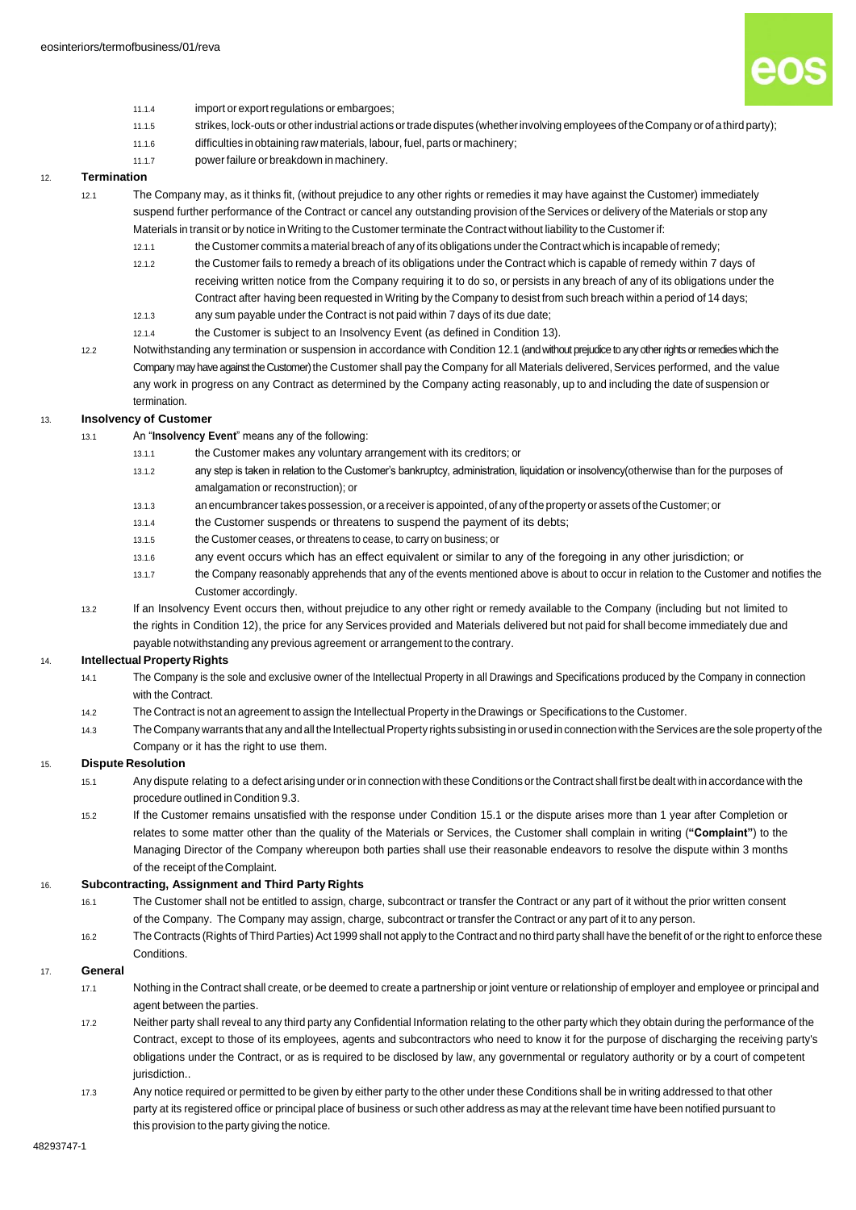- 11.1.4 import or export regulations or embargoes;
- 11.1.5 strikes, lock-outs or otherindustrial actions ortrade disputes (whetherinvolving employees of theCompany or of athird party);
- 11.1.6 difficulties in obtaining raw materials, labour, fuel, parts or machinery;
- 11.1.7 power failure or breakdown in machinery.

### 12. **Termination**

- 12.1 The Company may, as it thinks fit, (without prejudice to any other rights or remedies it may have against the Customer) immediately suspend further performance of the Contract or cancel any outstanding provision of the Services or delivery of the Materials or stop any Materials in transit or by notice in Writing to the Customer terminate the Contract without liability to the Customer if:
	- 12.1.1 the Customer commits a material breach of any of its obligations underthe Contract which is incapable of remedy;
	- 12.1.2 the Customer fails to remedy a breach of its obligations under the Contract which is capable of remedy within 7 days of receiving written notice from the Company requiring it to do so, or persists in any breach of any of its obligations under the Contract after having been requested in Writing by the Company to desist from such breach within a period of 14 days;
	- 12.1.3 any sum payable under the Contract is not paid within 7 days of its due date;
	- 12.1.4 the Customer is subject to an Insolvency Event (as defined in Condition 13).
- 12.2 Notwithstanding any termination or suspension in accordance with Condition 12.1 (and without prejudice to any other rights or remedies which the Company may have against the Customer) the Customer shall pay the Company for all Materials delivered, Services performed, and the value any work in progress on any Contract as determined by the Company acting reasonably, up to and including the date of suspension or termination.

### 13. **Insolvency of Customer**

- 13.1 An "**Insolvency Event**" means any of the following:
	- 13.1.1 the Customer makes any voluntary arrangement with its creditors; or
	- 13.1.2 any step is taken in relation to the Customer's bankruptcy, administration, liquidation or insolvency(otherwise than for the purposes of amalgamation or reconstruction); or
	- 13.1.3 an encumbrancer takes possession, or a receiveris appointed, of any of the property or assets of the Customer; or
	- 13.1.4 the Customer suspends or threatens to suspend the payment of its debts;
	- 13.1.5 the Customer ceases, or threatens to cease, to carry on business; or
	- 13.1.6 any event occurs which has an effect equivalent or similar to any of the foregoing in any other jurisdiction; or
	- 13.1.7 the Company reasonably apprehends that any of the events mentioned above is about to occur in relation to the Customer and notifies the Customer accordingly.
- 13.2 If an Insolvency Event occurs then, without prejudice to any other right or remedy available to the Company (including but not limited to the rights in Condition 12), the price for any Services provided and Materials delivered but not paid for shall become immediately due and payable notwithstanding any previous agreement or arrangement to the contrary.

# 14. **Intellectual PropertyRights**

- 14.1 The Company is the sole and exclusive owner of the Intellectual Property in all Drawings and Specifications produced by the Company in connection with the Contract.
- 14.2 The Contract is not an agreement to assign the Intellectual Property in the Drawings or Specifications to the Customer.
- 14.3 The Company warrants that any andall the IntellectualProperty rights subsisting in or used in connection withtheServices are the sole property of the Company or it has the right to use them.

## 15. **Dispute Resolution**

- 15.1 Any dispute relating to a defect arising under orin connection with these Conditions orthe Contract shall first be dealt with in accordance with the procedure outlined in Condition 9.3.
- 15.2 If the Customer remains unsatisfied with the response under Condition 15.1 or the dispute arises more than 1 year after Completion or relates to some matter other than the quality of the Materials or Services, the Customer shall complain in writing (**"Complaint"**) to the Managing Director of the Company whereupon both parties shall use their reasonable endeavors to resolve the dispute within 3 months of the receipt of theComplaint.

### 16. **Subcontracting, Assignment and Third Party Rights**

- 16.1 The Customer shall not be entitled to assign, charge, subcontract or transfer the Contract or any part of it without the prior written consent of the Company. The Company may assign, charge, subcontract or transfer the Contract or any part of it to any person.
- 16.2 The Contracts (Rights of Third Parties) Act 1999 shall not apply to the Contract and no third party shall have the benefit of orthe right to enforce these Conditions.

### 17. **General**

- 17.1 Nothing in the Contract shall create, or be deemed to create a partnership or joint venture or relationship of employer and employee or principal and agent between the parties.
- 17.2 Neither party shall reveal to any third party any Confidential Information relating to the other party which they obtain during the performance of the Contract, except to those of its employees, agents and subcontractors who need to know it for the purpose of discharging the receiving party's obligations under the Contract, or as is required to be disclosed by law, any governmental or regulatory authority or by a court of competent jurisdiction..
- 17.3 Any notice required or permitted to be given by either party to the other under these Conditions shall be in writing addressed to that other party at its registered office or principal place of business or such other address as may at the relevant time have been notified pursuant to this provision to the party giving the notice.